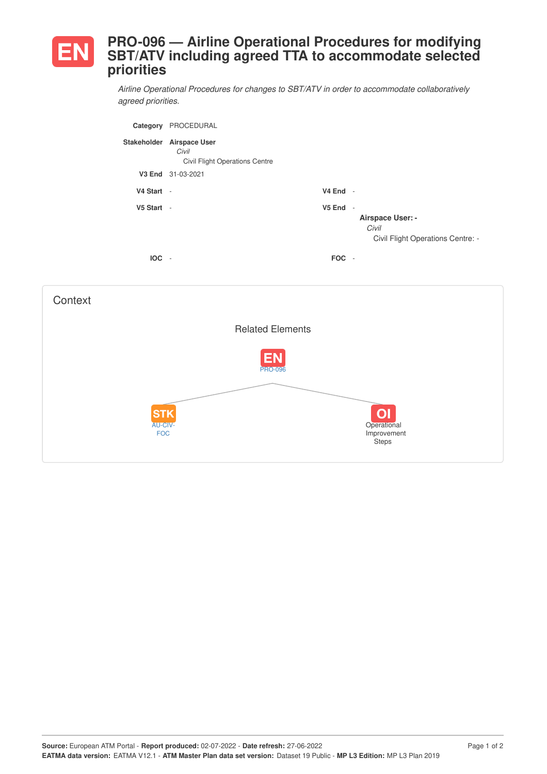## **PRO-096 — Airline Operational Procedures for modifying SBT/ATV including agreed TTA to accommodate selected priorities**

*Airline Operational Procedures for changes to SBT/ATV in order to accommodate collaboratively agreed priorities.*

| Category    | PROCEDURAL                                                             |                    |                                                                                 |
|-------------|------------------------------------------------------------------------|--------------------|---------------------------------------------------------------------------------|
| Stakeholder | <b>Airspace User</b><br>Civil<br><b>Civil Flight Operations Centre</b> |                    |                                                                                 |
| V3 End      | 31-03-2021                                                             |                    |                                                                                 |
| V4 Start -  |                                                                        | $V4$ End -         |                                                                                 |
| V5 Start -  |                                                                        | V <sub>5</sub> End | $\sim$<br><b>Airspace User: -</b><br>Civil<br>Civil Flight Operations Centre: - |
| <b>IOC</b>  | $\sim$                                                                 | <b>FOC</b>         | $\overline{\phantom{a}}$                                                        |